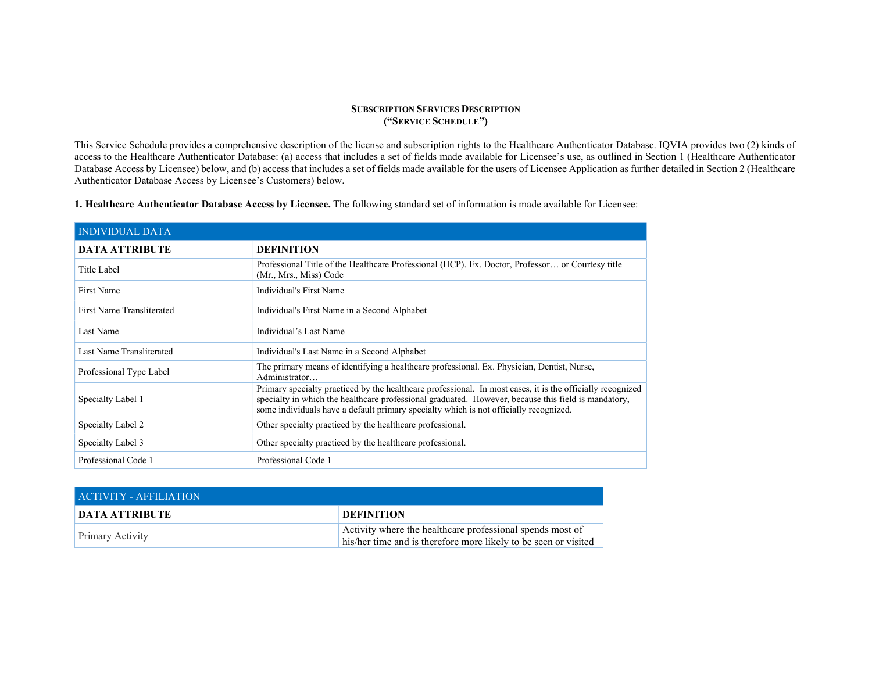## SUBSCRIPTION SERVICES DESCRIPTION ("SERVICE SCHEDULE")

This Service Schedule provides a comprehensive description of the license and subscription rights to the Healthcare Authenticator Database. IQVIA provides two (2) kinds of access to the Healthcare Authenticator Database: (a) access that includes a set of fields made available for Licensee's use, as outlined in Section 1 (Healthcare Authenticator Database Access by Licensee) below, and (b) access that includes a set of fields made available for the users of Licensee Application as further detailed in Section 2 (Healthcare Authenticator Database Access by Licensee's Customers) below.

| <b>1. Healthcare Authenticator Database Access by Licensee.</b> The following standard set of information is made available for Licensee: |  |  |  |  |  |  |
|-------------------------------------------------------------------------------------------------------------------------------------------|--|--|--|--|--|--|
|-------------------------------------------------------------------------------------------------------------------------------------------|--|--|--|--|--|--|

| <b>INDIVIDUAL DATA</b>    |                                                                                                                                                                                                                                                                                                            |
|---------------------------|------------------------------------------------------------------------------------------------------------------------------------------------------------------------------------------------------------------------------------------------------------------------------------------------------------|
| <b>DATA ATTRIBUTE</b>     | <b>DEFINITION</b>                                                                                                                                                                                                                                                                                          |
| Title Label               | Professional Title of the Healthcare Professional (HCP). Ex. Doctor, Professor or Courtesy title<br>(Mr., Mrs., Miss) Code                                                                                                                                                                                 |
| First Name                | Individual's First Name                                                                                                                                                                                                                                                                                    |
| First Name Transliterated | Individual's First Name in a Second Alphabet                                                                                                                                                                                                                                                               |
| Last Name                 | Individual's Last Name                                                                                                                                                                                                                                                                                     |
| Last Name Transliterated  | Individual's Last Name in a Second Alphabet                                                                                                                                                                                                                                                                |
| Professional Type Label   | The primary means of identifying a healthcare professional. Ex. Physician, Dentist, Nurse,<br>Administrator                                                                                                                                                                                                |
| Specialty Label 1         | Primary specialty practiced by the healthcare professional. In most cases, it is the officially recognized<br>specialty in which the healthcare professional graduated. However, because this field is mandatory,<br>some individuals have a default primary specialty which is not officially recognized. |
| Specialty Label 2         | Other specialty practiced by the healthcare professional.                                                                                                                                                                                                                                                  |
| Specialty Label 3         | Other specialty practiced by the healthcare professional.                                                                                                                                                                                                                                                  |
| Professional Code 1       | Professional Code 1                                                                                                                                                                                                                                                                                        |

| <b>ACTIVITY - AFFILIATION</b> |                                                                                                                              |
|-------------------------------|------------------------------------------------------------------------------------------------------------------------------|
| <b>DATA ATTRIBUTE</b>         | <b>DEFINITION</b>                                                                                                            |
| <b>Primary Activity</b>       | Activity where the healthcare professional spends most of<br>his/her time and is therefore more likely to be seen or visited |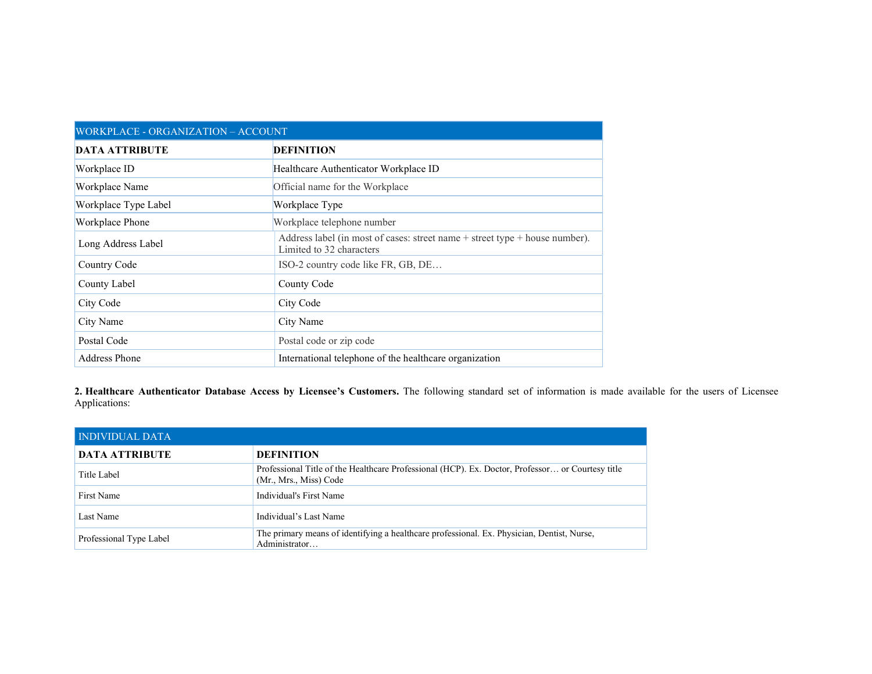| WORKPLACE - ORGANIZATION - ACCOUNT |                                                                                                             |  |
|------------------------------------|-------------------------------------------------------------------------------------------------------------|--|
| <b>DATA ATTRIBUTE</b>              | <b>DEFINITION</b>                                                                                           |  |
| Workplace ID                       | Healthcare Authenticator Workplace ID                                                                       |  |
| Workplace Name                     | Official name for the Workplace                                                                             |  |
| Workplace Type Label               | Workplace Type                                                                                              |  |
| Workplace Phone                    | Workplace telephone number                                                                                  |  |
| Long Address Label                 | Address label (in most of cases: street name $+$ street type $+$ house number).<br>Limited to 32 characters |  |
| Country Code                       | ISO-2 country code like FR, GB, DE                                                                          |  |
| County Label                       | County Code                                                                                                 |  |
| City Code                          | City Code                                                                                                   |  |
| City Name                          | City Name                                                                                                   |  |
| Postal Code                        | Postal code or zip code                                                                                     |  |
| <b>Address Phone</b>               | International telephone of the healthcare organization                                                      |  |

2. Healthcare Authenticator Database Access by Licensee's Customers. The following standard set of information is made available for the users of Licensee Applications:

| <b>INDIVIDUAL DATA</b>  |                                                                                                                            |
|-------------------------|----------------------------------------------------------------------------------------------------------------------------|
| <b>DATA ATTRIBUTE</b>   | <b>DEFINITION</b>                                                                                                          |
| Title Label             | Professional Title of the Healthcare Professional (HCP). Ex. Doctor, Professor or Courtesy title<br>(Mr., Mrs., Miss) Code |
| First Name              | Individual's First Name                                                                                                    |
| Last Name               | Individual's Last Name                                                                                                     |
| Professional Type Label | The primary means of identifying a healthcare professional. Ex. Physician, Dentist, Nurse,<br>Administrator                |